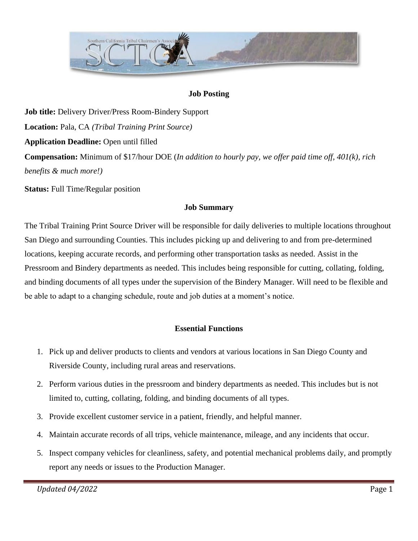

### **Job Posting**

**Job title:** Delivery Driver/Press Room-Bindery Support **Location:** Pala, CA *(Tribal Training Print Source)* **Application Deadline:** Open until filled **Compensation:** Minimum of \$17/hour DOE (*In addition to hourly pay, we offer paid time off, 401(k), rich benefits & much more!)*

**Status:** Full Time/Regular position

#### **Job Summary**

The Tribal Training Print Source Driver will be responsible for daily deliveries to multiple locations throughout San Diego and surrounding Counties. This includes picking up and delivering to and from pre-determined locations, keeping accurate records, and performing other transportation tasks as needed. Assist in the Pressroom and Bindery departments as needed. This includes being responsible for cutting, collating, folding, and binding documents of all types under the supervision of the Bindery Manager. Will need to be flexible and be able to adapt to a changing schedule, route and job duties at a moment's notice.

### **Essential Functions**

- 1. Pick up and deliver products to clients and vendors at various locations in San Diego County and Riverside County, including rural areas and reservations.
- 2. Perform various duties in the pressroom and bindery departments as needed. This includes but is not limited to, cutting, collating, folding, and binding documents of all types.
- 3. Provide excellent customer service in a patient, friendly, and helpful manner.
- 4. Maintain accurate records of all trips, vehicle maintenance, mileage, and any incidents that occur.
- 5. Inspect company vehicles for cleanliness, safety, and potential mechanical problems daily, and promptly report any needs or issues to the Production Manager.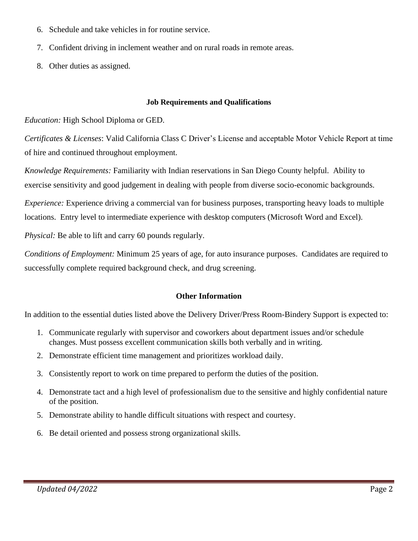- 6. Schedule and take vehicles in for routine service.
- 7. Confident driving in inclement weather and on rural roads in remote areas.
- 8. Other duties as assigned.

#### **Job Requirements and Qualifications**

*Education:* High School Diploma or GED.

*Certificates & Licenses*: Valid California Class C Driver's License and acceptable Motor Vehicle Report at time of hire and continued throughout employment.

*Knowledge Requirements:* Familiarity with Indian reservations in San Diego County helpful. Ability to exercise sensitivity and good judgement in dealing with people from diverse socio-economic backgrounds.

*Experience:* Experience driving a commercial van for business purposes, transporting heavy loads to multiple locations. Entry level to intermediate experience with desktop computers (Microsoft Word and Excel).

*Physical:* Be able to lift and carry 60 pounds regularly.

*Conditions of Employment:* Minimum 25 years of age, for auto insurance purposes. Candidates are required to successfully complete required background check, and drug screening.

#### **Other Information**

In addition to the essential duties listed above the Delivery Driver/Press Room-Bindery Support is expected to:

- 1. Communicate regularly with supervisor and coworkers about department issues and/or schedule changes. Must possess excellent communication skills both verbally and in writing.
- 2. Demonstrate efficient time management and prioritizes workload daily.
- 3. Consistently report to work on time prepared to perform the duties of the position.
- 4. Demonstrate tact and a high level of professionalism due to the sensitive and highly confidential nature of the position.
- 5. Demonstrate ability to handle difficult situations with respect and courtesy.
- 6. Be detail oriented and possess strong organizational skills.